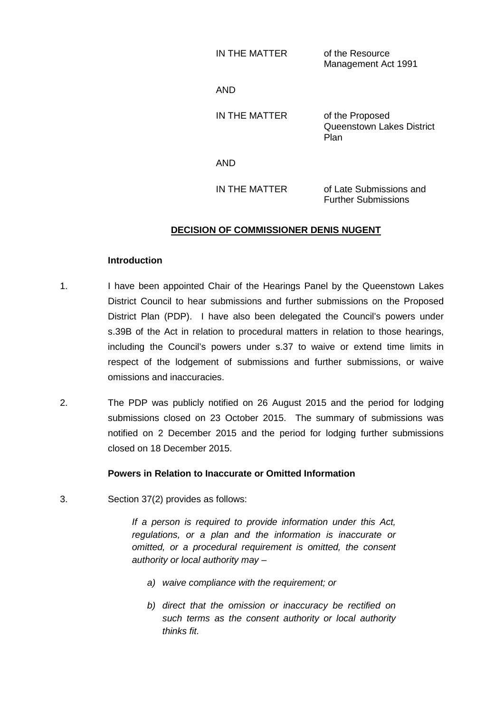| IN THE MATTER | of the Resource     |
|---------------|---------------------|
|               | Management Act 1991 |

AND

IN THE MATTER of the Proposed Queenstown Lakes District Plan

AND

IN THE MATTER of Late Submissions and Further Submissions

# **DECISION OF COMMISSIONER DENIS NUGENT**

#### **Introduction**

- 1. I have been appointed Chair of the Hearings Panel by the Queenstown Lakes District Council to hear submissions and further submissions on the Proposed District Plan (PDP). I have also been delegated the Council's powers under s.39B of the Act in relation to procedural matters in relation to those hearings, including the Council's powers under s.37 to waive or extend time limits in respect of the lodgement of submissions and further submissions, or waive omissions and inaccuracies.
- 2. The PDP was publicly notified on 26 August 2015 and the period for lodging submissions closed on 23 October 2015. The summary of submissions was notified on 2 December 2015 and the period for lodging further submissions closed on 18 December 2015.

### **Powers in Relation to Inaccurate or Omitted Information**

3. Section 37(2) provides as follows:

*If a person is required to provide information under this Act, regulations, or a plan and the information is inaccurate or omitted, or a procedural requirement is omitted, the consent authority or local authority may –*

- *a) waive compliance with the requirement; or*
- *b) direct that the omission or inaccuracy be rectified on such terms as the consent authority or local authority thinks fit.*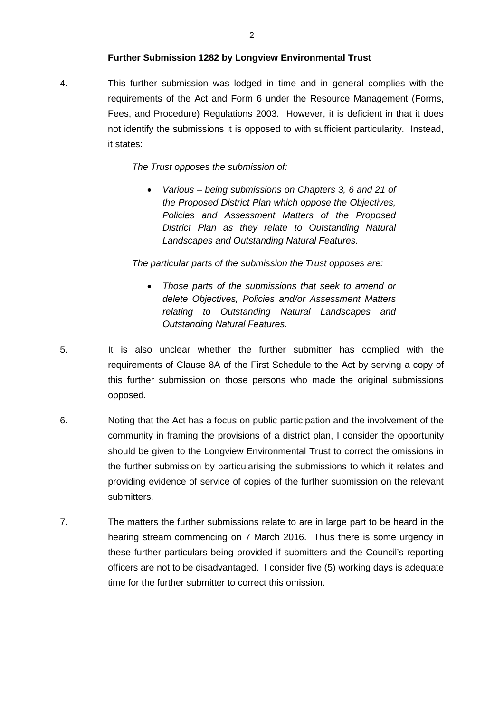### **Further Submission 1282 by Longview Environmental Trust**

4. This further submission was lodged in time and in general complies with the requirements of the Act and Form 6 under the Resource Management (Forms, Fees, and Procedure) Regulations 2003. However, it is deficient in that it does not identify the submissions it is opposed to with sufficient particularity. Instead, it states:

#### *The Trust opposes the submission of:*

• *Various – being submissions on Chapters 3, 6 and 21 of the Proposed District Plan which oppose the Objectives, Policies and Assessment Matters of the Proposed District Plan as they relate to Outstanding Natural Landscapes and Outstanding Natural Features.*

*The particular parts of the submission the Trust opposes are:*

- *Those parts of the submissions that seek to amend or delete Objectives, Policies and/or Assessment Matters relating to Outstanding Natural Landscapes and Outstanding Natural Features.*
- 5. It is also unclear whether the further submitter has complied with the requirements of Clause 8A of the First Schedule to the Act by serving a copy of this further submission on those persons who made the original submissions opposed.
- 6. Noting that the Act has a focus on public participation and the involvement of the community in framing the provisions of a district plan, I consider the opportunity should be given to the Longview Environmental Trust to correct the omissions in the further submission by particularising the submissions to which it relates and providing evidence of service of copies of the further submission on the relevant submitters.
- 7. The matters the further submissions relate to are in large part to be heard in the hearing stream commencing on 7 March 2016. Thus there is some urgency in these further particulars being provided if submitters and the Council's reporting officers are not to be disadvantaged. I consider five (5) working days is adequate time for the further submitter to correct this omission.